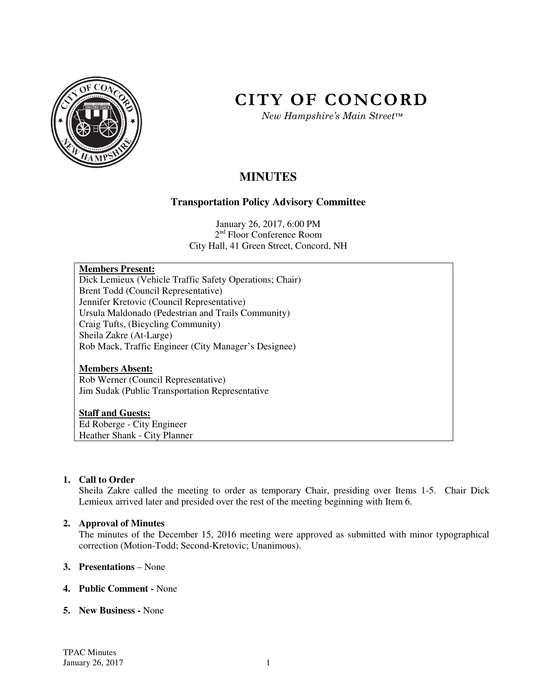

# **CITY OF CONCORD**

*New Hampshire's Main Street™*

# **MINUTES**

# **Transportation Policy Advisory Committee**

January 26, 2017, 6:00 PM 2<sup>nd</sup> Floor Conference Room City Hall, 41 Green Street, Concord, NH

# **Members Present:**

Dick Lemieux (Vehicle Traffic Safety Operations; Chair) Brent Todd (Council Representative) Jennifer Kretovic (Council Representative) Ursula Maldonado (Pedestrian and Trails Community) Craig Tufts, (Bicycling Community) Sheila Zakre (At-Large) Rob Mack, Traffic Engineer (City Manager's Designee)

#### **Members Absent:**

Rob Werner (Council Representative) Jim Sudak (Public Transportation Representative

#### **Staff and Guests:**

Ed Roberge - City Engineer Heather Shank - City Planner

# **1. Call to Order**

Sheila Zakre called the meeting to order as temporary Chair, presiding over Items 1-5. Chair Dick Lemieux arrived later and presided over the rest of the meeting beginning with Item 6.

#### **2. Approval of Minutes**

The minutes of the December 15, 2016 meeting were approved as submitted with minor typographical correction (Motion-Todd; Second-Kretovic; Unanimous).

#### **3. Presentations** – None

#### **4. Public Comment -** None

#### **5. New Business -** None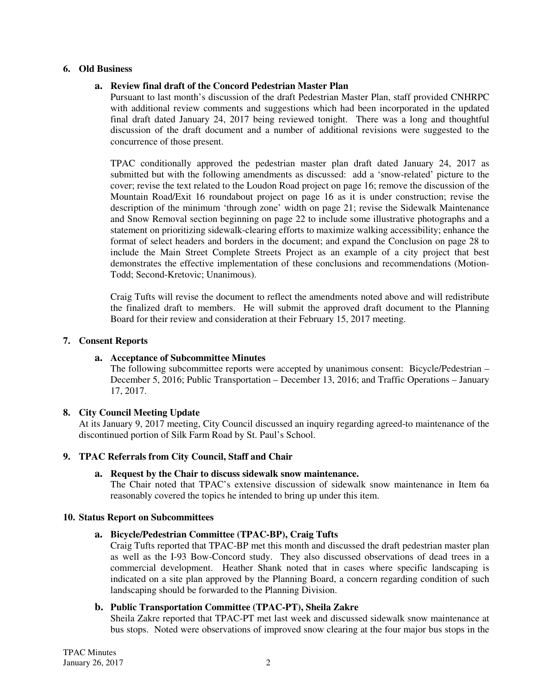#### **6. Old Business**

#### **a. Review final draft of the Concord Pedestrian Master Plan**

Pursuant to last month's discussion of the draft Pedestrian Master Plan, staff provided CNHRPC with additional review comments and suggestions which had been incorporated in the updated final draft dated January 24, 2017 being reviewed tonight. There was a long and thoughtful discussion of the draft document and a number of additional revisions were suggested to the concurrence of those present.

TPAC conditionally approved the pedestrian master plan draft dated January 24, 2017 as submitted but with the following amendments as discussed: add a 'snow-related' picture to the cover; revise the text related to the Loudon Road project on page 16; remove the discussion of the Mountain Road/Exit 16 roundabout project on page 16 as it is under construction; revise the description of the minimum 'through zone' width on page 21; revise the Sidewalk Maintenance and Snow Removal section beginning on page 22 to include some illustrative photographs and a statement on prioritizing sidewalk-clearing efforts to maximize walking accessibility; enhance the format of select headers and borders in the document; and expand the Conclusion on page 28 to include the Main Street Complete Streets Project as an example of a city project that best demonstrates the effective implementation of these conclusions and recommendations (Motion-Todd; Second-Kretovic; Unanimous).

Craig Tufts will revise the document to reflect the amendments noted above and will redistribute the finalized draft to members. He will submit the approved draft document to the Planning Board for their review and consideration at their February 15, 2017 meeting.

#### **7. Consent Reports**

#### **a. Acceptance of Subcommittee Minutes**

The following subcommittee reports were accepted by unanimous consent: Bicycle/Pedestrian – December 5, 2016; Public Transportation – December 13, 2016; and Traffic Operations – January 17, 2017.

#### **8. City Council Meeting Update**

At its January 9, 2017 meeting, City Council discussed an inquiry regarding agreed-to maintenance of the discontinued portion of Silk Farm Road by St. Paul's School.

#### **9. TPAC Referrals from City Council, Staff and Chair**

#### **a. Request by the Chair to discuss sidewalk snow maintenance.**

The Chair noted that TPAC's extensive discussion of sidewalk snow maintenance in Item 6a reasonably covered the topics he intended to bring up under this item.

#### **10. Status Report on Subcommittees**

#### **a. Bicycle/Pedestrian Committee (TPAC-BP), Craig Tufts**

Craig Tufts reported that TPAC-BP met this month and discussed the draft pedestrian master plan as well as the I-93 Bow-Concord study. They also discussed observations of dead trees in a commercial development. Heather Shank noted that in cases where specific landscaping is indicated on a site plan approved by the Planning Board, a concern regarding condition of such landscaping should be forwarded to the Planning Division.

#### **b. Public Transportation Committee (TPAC-PT), Sheila Zakre**

Sheila Zakre reported that TPAC-PT met last week and discussed sidewalk snow maintenance at bus stops. Noted were observations of improved snow clearing at the four major bus stops in the